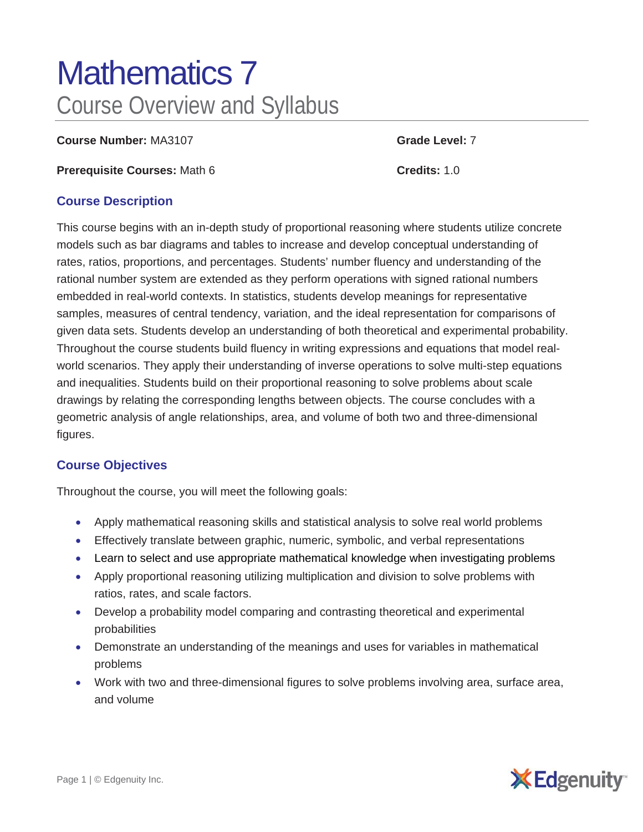# Mathematics 7 Course Overview and Syllabus

**Course Number:** MA3107 **Grade Level:** 7

**Prerequisite Courses:** Math 6 **Credits:** 1.0

#### **Course Description**

This course begins with an in-depth study of proportional reasoning where students utilize concrete models such as bar diagrams and tables to increase and develop conceptual understanding of rates, ratios, proportions, and percentages. Students' number fluency and understanding of the rational number system are extended as they perform operations with signed rational numbers embedded in real-world contexts. In statistics, students develop meanings for representative samples, measures of central tendency, variation, and the ideal representation for comparisons of given data sets. Students develop an understanding of both theoretical and experimental probability. Throughout the course students build fluency in writing expressions and equations that model realworld scenarios. They apply their understanding of inverse operations to solve multi-step equations and inequalities. Students build on their proportional reasoning to solve problems about scale drawings by relating the corresponding lengths between objects. The course concludes with a geometric analysis of angle relationships, area, and volume of both two and three-dimensional figures.

### **Course Objectives**

Throughout the course, you will meet the following goals:

- Apply mathematical reasoning skills and statistical analysis to solve real world problems
- Effectively translate between graphic, numeric, symbolic, and verbal representations
- Learn to select and use appropriate mathematical knowledge when investigating problems
- Apply proportional reasoning utilizing multiplication and division to solve problems with ratios, rates, and scale factors.
- Develop a probability model comparing and contrasting theoretical and experimental probabilities
- Demonstrate an understanding of the meanings and uses for variables in mathematical problems
- Work with two and three-dimensional figures to solve problems involving area, surface area, and volume

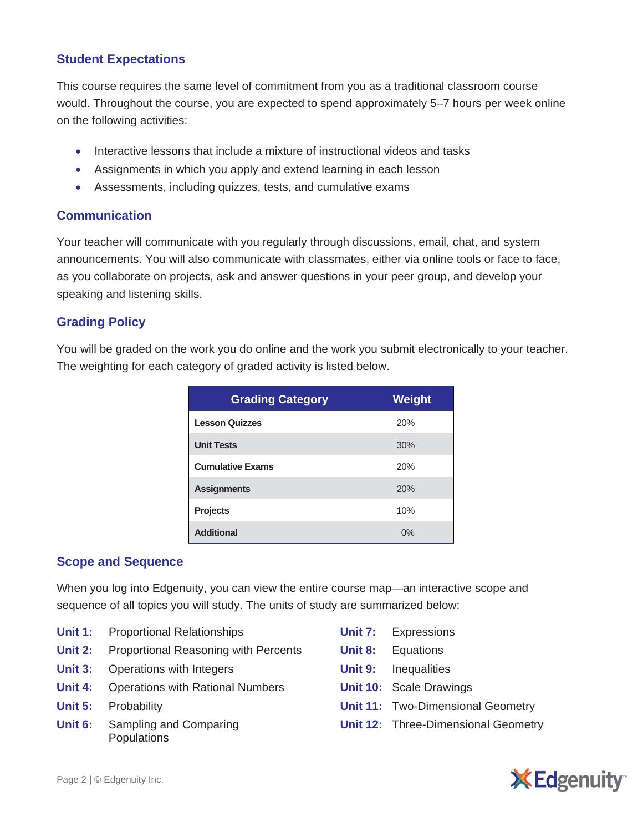### **Student Expectations**

This course requires the same level of commitment from you as a traditional classroom course would. Throughout the course, you are expected to spend approximately 5–7 hours per week online on the following activities:

- Interactive lessons that include a mixture of instructional videos and tasks
- Assignments in which you apply and extend learning in each lesson
- Assessments, including quizzes, tests, and cumulative exams

### **Communication**

Your teacher will communicate with you regularly through discussions, email, chat, and system announcements. You will also communicate with classmates, either via online tools or face to face, as you collaborate on projects, ask and answer questions in your peer group, and develop your speaking and listening skills.

## **Grading Policy**

You will be graded on the work you do online and the work you submit electronically to your teacher. The weighting for each category of graded activity is listed below.

| <b>Grading Category</b> | <b>Weight</b> |
|-------------------------|---------------|
| <b>Lesson Quizzes</b>   | 20%           |
| <b>Unit Tests</b>       | 30%           |
| <b>Cumulative Exams</b> | 20%           |
| <b>Assignments</b>      | 20%           |
| <b>Projects</b>         | 10%           |
| <b>Additional</b>       | 0%            |

### **Scope and Sequence**

When you log into Edgenuity, you can view the entire course map—an interactive scope and sequence of all topics you will study. The units of study are summarized below:

- **Unit 1:** Proportional Relationships
- **Unit 2:** Proportional Reasoning with Percents
- **Unit 3:** Operations with Integers
- **Unit 4:** Operations with Rational Numbers
- **Unit 5:** Probability
- **Unit 6:** Sampling and Comparing **Populations**
- **Unit 7:** Expressions
- **Unit 8:** Equations
- **Unit 9:** Inequalities
- **Unit 10:** Scale Drawings
- **Unit 11:** Two-Dimensional Geometry
- **Unit 12:** Three-Dimensional Geometry